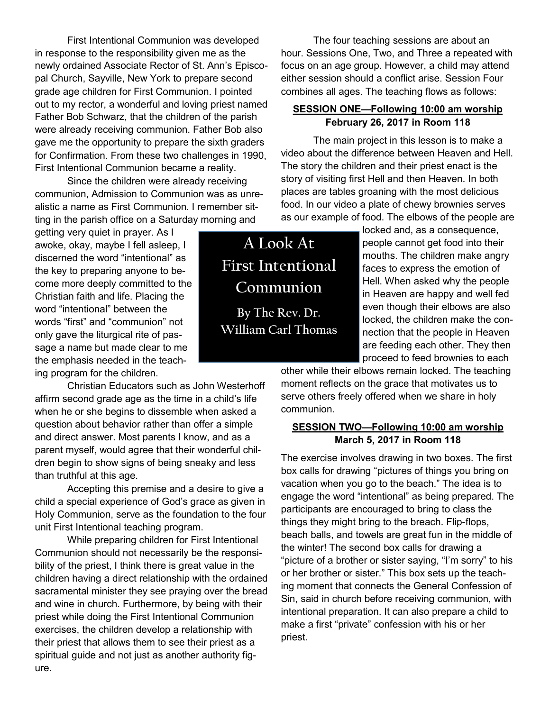First Intentional Communion was developed in response to the responsibility given me as the newly ordained Associate Rector of St. Ann's Episcopal Church, Sayville, New York to prepare second grade age children for First Communion. I pointed out to my rector, a wonderful and loving priest named Father Bob Schwarz, that the children of the parish were already receiving communion. Father Bob also gave me the opportunity to prepare the sixth graders for Confirmation. From these two challenges in 1990, First Intentional Communion became a reality.

Since the children were already receiving communion, Admission to Communion was as unrealistic a name as First Communion. I remember sitting in the parish office on a Saturday morning and

getting very quiet in prayer. As I awoke, okay, maybe I fell asleep, I discerned the word "intentional" as the key to preparing anyone to become more deeply committed to the Christian faith and life. Placing the word "intentional" between the words "first" and "communion" not only gave the liturgical rite of passage a name but made clear to me the emphasis needed in the teaching program for the children.

Christian Educators such as John Westerhoff affirm second grade age as the time in a child's life when he or she begins to dissemble when asked a question about behavior rather than offer a simple and direct answer. Most parents I know, and as a parent myself, would agree that their wonderful children begin to show signs of being sneaky and less than truthful at this age.

Accepting this premise and a desire to give a child a special experience of God's grace as given in Holy Communion, serve as the foundation to the four unit First Intentional teaching program.

While preparing children for First Intentional Communion should not necessarily be the responsibility of the priest, I think there is great value in the children having a direct relationship with the ordained sacramental minister they see praying over the bread and wine in church. Furthermore, by being with their priest while doing the First Intentional Communion exercises, the children develop a relationship with their priest that allows them to see their priest as a spiritual guide and not just as another authority figure.

The four teaching sessions are about an hour. Sessions One, Two, and Three a repeated with focus on an age group. However, a child may attend either session should a conflict arise. Session Four combines all ages. The teaching flows as follows:

#### **SESSION ONE—Following 10:00 am worship February 26, 2017 in Room 118**

The main project in this lesson is to make a video about the difference between Heaven and Hell. The story the children and their priest enact is the story of visiting first Hell and then Heaven. In both places are tables groaning with the most delicious food. In our video a plate of chewy brownies serves as our example of food. The elbows of the people are

> locked and, as a consequence, people cannot get food into their mouths. The children make angry faces to express the emotion of Hell. When asked why the people in Heaven are happy and well fed even though their elbows are also locked, the children make the connection that the people in Heaven are feeding each other. They then proceed to feed brownies to each

other while their elbows remain locked. The teaching moment reflects on the grace that motivates us to serve others freely offered when we share in holy communion.

### **SESSION TWO—Following 10:00 am worship March 5, 2017 in Room 118**

The exercise involves drawing in two boxes. The first box calls for drawing "pictures of things you bring on vacation when you go to the beach." The idea is to engage the word "intentional" as being prepared. The participants are encouraged to bring to class the things they might bring to the breach. Flip-flops, beach balls, and towels are great fun in the middle of the winter! The second box calls for drawing a "picture of a brother or sister saying, "I'm sorry" to his or her brother or sister." This box sets up the teaching moment that connects the General Confession of Sin, said in church before receiving communion, with intentional preparation. It can also prepare a child to make a first "private" confession with his or her priest.

**A Look At First Intentional Communion By The Rev. Dr.** 

**William Carl Thomas**